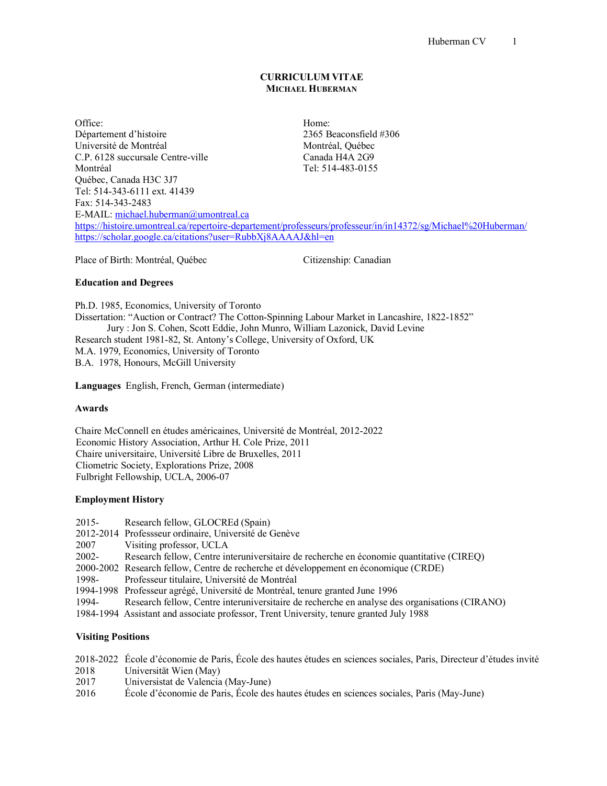## **CURRICULUM VITAE MICHAEL HUBERMAN**

Office: Home: Département d'histoire 2365 Beaconsfield #306 Université de Montréal Montréal Montréal, Québec C.P. 6128 succursale Centre-ville Canada H4A 2G9 Montréal Tel: 514-483-0155 Québec, Canada H3C 3J7 Tel: 514-343-6111 ext. 41439 Fax: 514-343-2483 E-MAIL: michael.huberman@umontreal.ca https://histoire.umontreal.ca/repertoire-departement/professeurs/professeur/in/in14372/sg/Michael%20Huberman/ https://scholar.google.ca/citations?user=RubbXj8AAAAJ&hl=en

Place of Birth: Montréal, Québec Citizenship: Canadian

# **Education and Degrees**

Ph.D. 1985, Economics, University of Toronto Dissertation: "Auction or Contract? The Cotton-Spinning Labour Market in Lancashire, 1822-1852" Jury : Jon S. Cohen, Scott Eddie, John Munro, William Lazonick, David Levine Research student 1981-82, St. Antony's College, University of Oxford, UK M.A. 1979, Economics, University of Toronto B.A. 1978, Honours, McGill University

**Languages** English, French, German (intermediate)

# **Awards**

Chaire McConnell en études américaines, Université de Montréal, 2012-2022 Economic History Association, Arthur H. Cole Prize, 2011 Chaire universitaire, Université Libre de Bruxelles, 2011 Cliometric Society, Explorations Prize, 2008 Fulbright Fellowship, UCLA, 2006-07

# **Employment History**

- 2015- Research fellow, GLOCREd (Spain)
- 2012-2014 Professseur ordinaire, Université de Genève
- 2007 Visiting professor, UCLA
- 2002- Research fellow, Centre interuniversitaire de recherche en économie quantitative (CIREQ)
- 2000-2002 Research fellow, Centre de recherche et développement en économique (CRDE)
- 1998- Professeur titulaire, Université de Montréal
- 1994-1998 Professeur agrégé, Université de Montréal, tenure granted June 1996
- 1994- Research fellow, Centre interuniversitaire de recherche en analyse des organisations (CIRANO)
- 1984-1994 Assistant and associate professor, Trent University, tenure granted July 1988

# **Visiting Positions**

- 2018-2022 École d'économie de Paris, École des hautes études en sciences sociales, Paris, Directeur d'études invité 2018 Universität Wien (May)
- 2017 Universistat de Valencia (May-June)
- 2016 École d'économie de Paris, École des hautes études en sciences sociales, Paris (May-June)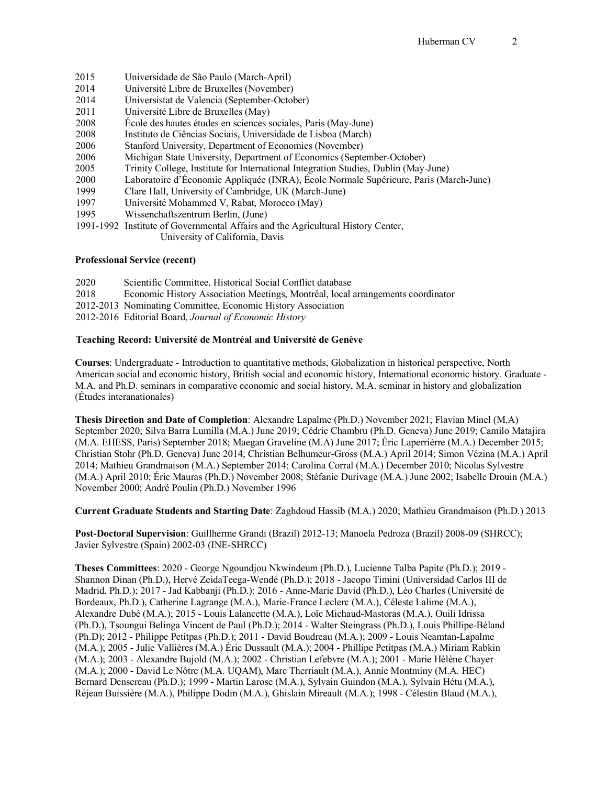- 2015 Universidade de São Paulo (March-April)
- 2014 Université Libre de Bruxelles (November)
- 2014 Universistat de Valencia (September-October)
- 2011 Université Libre de Bruxelles (May)
- 2008 École des hautes études en sciences sociales, Paris (May-June)
- 2008 Instituto de Ciências Sociais, Universidade de Lisboa (March)
- 2006 Stanford University, Department of Economics (November)
- 2006 Michigan State University, Department of Economics (September-October)
- 2005 Trinity College, Institute for International Integration Studies, Dublin (May-June)
- 2000 Laboratoire d'Économie Appliquée (INRA), École Normale Supérieure, Paris (March-June)
- 1999 Clare Hall, University of Cambridge, UK (March-June)
- 1997 Université Mohammed V, Rabat, Morocco (May)
- 1995 Wissenchaftszentrum Berlin, (June)
- 1991-1992 Institute of Governmental Affairs and the Agricultural History Center, University of California, Davis

# **Professional Service (recent)**

| 2020 | Scientific Committee, Historical Social Conflict database                       |
|------|---------------------------------------------------------------------------------|
| 2018 | Economic History Association Meetings, Montréal, local arrangements coordinator |
|      | 2012-2013 Nominating Committee, Economic History Association                    |
|      | 2012-2016 Editorial Board, Journal of Economic History                          |
|      |                                                                                 |

# **Teaching Record: Université de Montréal and Université de Genève**

**Courses**: Undergraduate - Introduction to quantitative methods, Globalization in historical perspective, North American social and economic history, British social and economic history, International economic history. Graduate - M.A. and Ph.D. seminars in comparative economic and social history, M.A. seminar in history and globalization (Études interanationales)

**Thesis Direction and Date of Completion**: Alexandre Lapalme (Ph.D.) November 2021; Flavian Minel (M.A) September 2020; Silva Barra Lumilla (M.A.) June 2019; Cédric Chambru (Ph.D. Geneva) June 2019; Camilo Matajira (M.A. EHESS, Paris) September 2018; Maegan Graveline (M.A) June 2017; Éric Laperrièrre (M.A.) December 2015; Christian Stohr (Ph.D. Geneva) June 2014; Christian Belhumeur-Gross (M.A.) April 2014; Simon Vézina (M.A.) April 2014; Mathieu Grandmaison (M.A.) September 2014; Carolina Corral (M.A.) December 2010; Nicolas Sylvestre (M.A.) April 2010; Éric Mauras (Ph.D.) November 2008; Stéfanie Durivage (M.A.) June 2002; Isabelle Drouin (M.A.) November 2000; André Poulin (Ph.D.) November 1996

**Current Graduate Students and Starting Date**: Zaghdoud Hassib (M.A.) 2020; Mathieu Grandmaison (Ph.D.) 2013

**Post-Doctoral Supervision**: Guillherme Grandi (Brazil) 2012-13; Manoela Pedroza (Brazil) 2008-09 (SHRCC); Javier Sylvestre (Spain) 2002-03 (INE-SHRCC)

**Theses Committees**: 2020 - George Ngoundjou Nkwindeum (Ph.D.), Lucienne Talba Papite (Ph.D.); 2019 - Shannon Dinan (Ph.D.), Hervé ZeidaTeega-Wendé (Ph.D.); 2018 - Jacopo Timini (Universidad Carlos III de Madrid, Ph.D.); 2017 - Jad Kabbanji (Ph.D.); 2016 - Anne-Marie David (Ph.D.), Léo Charles (Université de Bordeaux, Ph.D.), Catherine Lagrange (M.A.), Marie-France Leclerc (M.A.), Céleste Lalime (M.A.), Alexandre Dubé (M.A.); 2015 - Louis Lalancette (M.A.), Loïc Michaud-Mastoras (M.A.), Ouili Idrissa (Ph.D.), Tsoungui Belinga Vincent de Paul (Ph.D.); 2014 - Walter Steingrass (Ph.D.), Louis Phillipe-Béland (Ph.D); 2012 - Philippe Petitpas (Ph.D.); 2011 - David Boudreau (M.A.); 2009 - Louis Neamtan-Lapalme (M.A.); 2005 - Julie Vallières (M.A.) Éric Dussault (M.A.); 2004 - Phillipe Petitpas (M.A.) Miriam Rabkin (M.A.); 2003 - Alexandre Bujold (M.A.); 2002 - Christian Lefebvre (M.A.); 2001 - Marie Hélène Chayer (M.A.); 2000 - David Le Nôtre (M.A. UQAM), Marc Therriault (M.A.), Annie Montminy (M.A. HEC) Bernard Densereau (Ph.D.); 1999 - Martin Larose (M.A.), Sylvain Guindon (M.A.), Sylvain Hétu (M.A.), Réjean Buissière (M.A.), Philippe Dodin (M.A.), Ghislain Mireault (M.A.); 1998 - Célestin Blaud (M.A.),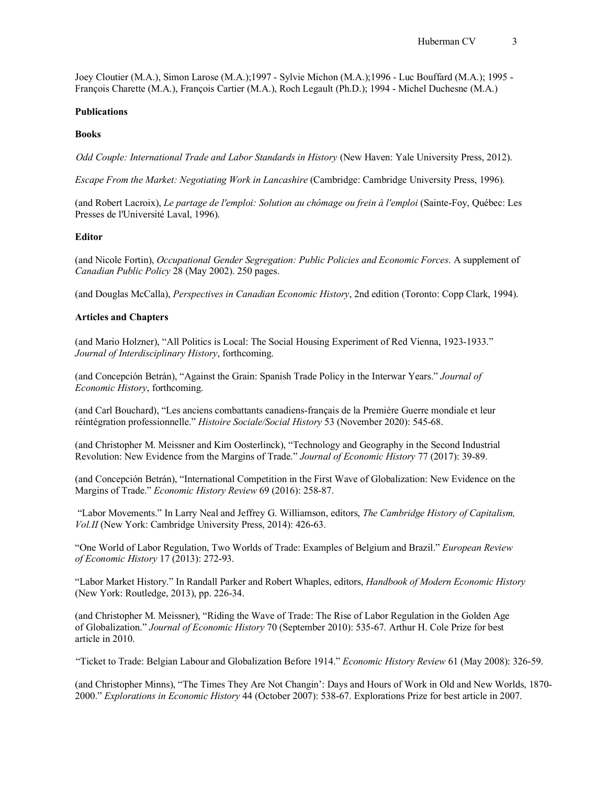Joey Cloutier (M.A.), Simon Larose (M.A.);1997 - Sylvie Michon (M.A.);1996 - Luc Bouffard (M.A.); 1995 - François Charette (M.A.), François Cartier (M.A.), Roch Legault (Ph.D.); 1994 - Michel Duchesne (M.A.)

### **Publications**

### **Books**

*Odd Couple: International Trade and Labor Standards in History* (New Haven: Yale University Press, 2012).

*Escape From the Market: Negotiating Work in Lancashire* (Cambridge: Cambridge University Press, 1996).

(and Robert Lacroix), *Le partage de l'emploi: Solution au chômage ou frein à l'emploi* (Sainte-Foy, Québec: Les Presses de l'Université Laval, 1996).

# **Editor**

(and Nicole Fortin), *Occupational Gender Segregation: Public Policies and Economic Forces*. A supplement of *Canadian Public Policy* 28 (May 2002). 250 pages.

(and Douglas McCalla), *Perspectives in Canadian Economic History*, 2nd edition (Toronto: Copp Clark, 1994).

## **Articles and Chapters**

(and Mario Holzner), "All Politics is Local: The Social Housing Experiment of Red Vienna, 1923-1933." *Journal of Interdisciplinary History*, forthcoming.

(and Concepción Betrán), "Against the Grain: Spanish Trade Policy in the Interwar Years." *Journal of Economic History*, forthcoming.

(and Carl Bouchard), "Les anciens combattants canadiens-français de la Première Guerre mondiale et leur réintégration professionnelle." *Histoire Sociale/Social History* 53 (November 2020): 545-68.

(and Christopher M. Meissner and Kim Oosterlinck), "Technology and Geography in the Second Industrial Revolution: New Evidence from the Margins of Trade." *Journal of Economic History* 77 (2017): 39-89.

(and Concepción Betrán), "International Competition in the First Wave of Globalization: New Evidence on the Margins of Trade." *Economic History Review* 69 (2016): 258-87.

"Labor Movements." In Larry Neal and Jeffrey G. Williamson, editors, *The Cambridge History of Capitalism, Vol.II* (New York: Cambridge University Press, 2014): 426-63.

"One World of Labor Regulation, Two Worlds of Trade: Examples of Belgium and Brazil." *European Review of Economic History* 17 (2013): 272-93.

"Labor Market History." In Randall Parker and Robert Whaples, editors, *Handbook of Modern Economic History* (New York: Routledge, 2013), pp. 226-34.

(and Christopher M. Meissner), "Riding the Wave of Trade: The Rise of Labor Regulation in the Golden Age of Globalization." *Journal of Economic History* 70 (September 2010): 535-67. Arthur H. Cole Prize for best article in 2010.

"Ticket to Trade: Belgian Labour and Globalization Before 1914." *Economic History Review* 61 (May 2008): 326-59.

(and Christopher Minns), "The Times They Are Not Changin': Days and Hours of Work in Old and New Worlds, 1870- 2000." *Explorations in Economic History* 44 (October 2007): 538-67. Explorations Prize for best article in 2007.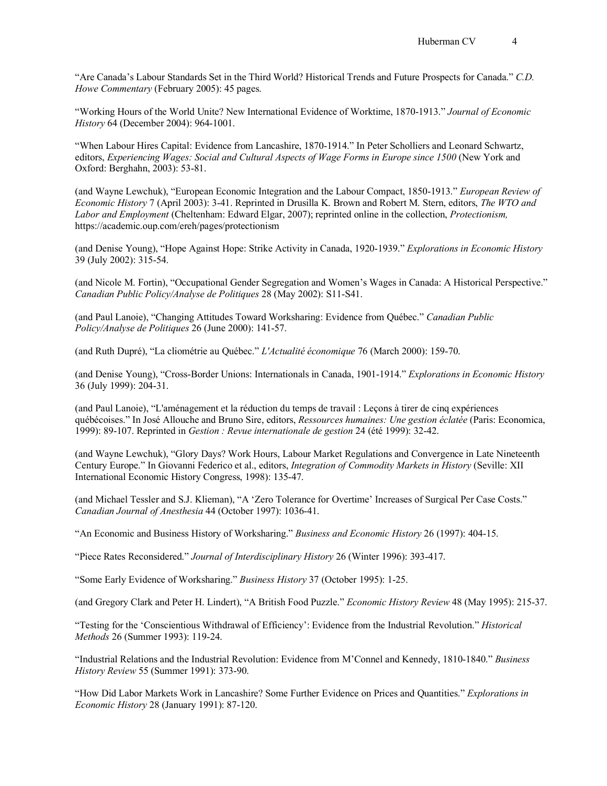"Are Canada's Labour Standards Set in the Third World? Historical Trends and Future Prospects for Canada." *C.D. Howe Commentary* (February 2005): 45 pages.

"Working Hours of the World Unite? New International Evidence of Worktime, 1870-1913." *Journal of Economic History* 64 (December 2004): 964-1001.

"When Labour Hires Capital: Evidence from Lancashire, 1870-1914." In Peter Scholliers and Leonard Schwartz, editors, *Experiencing Wages: Social and Cultural Aspects of Wage Forms in Europe since 1500* (New York and Oxford: Berghahn, 2003): 53-81.

(and Wayne Lewchuk), "European Economic Integration and the Labour Compact, 1850-1913." *European Review of Economic History* 7 (April 2003): 3-41. Reprinted in Drusilla K. Brown and Robert M. Stern, editors, *The WTO and Labor and Employment* (Cheltenham: Edward Elgar, 2007); reprinted online in the collection, *Protectionism,* https://academic.oup.com/ereh/pages/protectionism

(and Denise Young), "Hope Against Hope: Strike Activity in Canada, 1920-1939." *Explorations in Economic History* 39 (July 2002): 315-54.

(and Nicole M. Fortin), "Occupational Gender Segregation and Women's Wages in Canada: A Historical Perspective." *Canadian Public Policy/Analyse de Politiques* 28 (May 2002): S11-S41.

(and Paul Lanoie), "Changing Attitudes Toward Worksharing: Evidence from Québec." *Canadian Public Policy/Analyse de Politiques* 26 (June 2000): 141-57.

(and Ruth Dupré), "La cliométrie au Québec." *L'Actualité économique* 76 (March 2000): 159-70.

(and Denise Young), "Cross-Border Unions: Internationals in Canada, 1901-1914." *Explorations in Economic History* 36 (July 1999): 204-31.

(and Paul Lanoie), "L'aménagement et la réduction du temps de travail : Leçons à tirer de cinq expériences québécoises." In José Allouche and Bruno Sire, editors, *Ressources humaines: Une gestion éclatée* (Paris: Economica, 1999): 89-107. Reprinted in *Gestion : Revue internationale de gestion* 24 (été 1999): 32-42.

(and Wayne Lewchuk), "Glory Days? Work Hours, Labour Market Regulations and Convergence in Late Nineteenth Century Europe." In Giovanni Federico et al., editors, *Integration of Commodity Markets in History* (Seville: XII International Economic History Congress, 1998): 135-47.

(and Michael Tessler and S.J. Klieman), "A 'Zero Tolerance for Overtime' Increases of Surgical Per Case Costs." *Canadian Journal of Anesthesia* 44 (October 1997): 1036-41.

"An Economic and Business History of Worksharing." *Business and Economic History* 26 (1997): 404-15.

"Piece Rates Reconsidered." *Journal of Interdisciplinary History* 26 (Winter 1996): 393-417.

"Some Early Evidence of Worksharing." *Business History* 37 (October 1995): 1-25.

(and Gregory Clark and Peter H. Lindert), "A British Food Puzzle." *Economic History Review* 48 (May 1995): 215-37.

"Testing for the 'Conscientious Withdrawal of Efficiency': Evidence from the Industrial Revolution." *Historical Methods* 26 (Summer 1993): 119-24.

"Industrial Relations and the Industrial Revolution: Evidence from M'Connel and Kennedy, 1810-1840." *Business History Review* 55 (Summer 1991): 373-90.

"How Did Labor Markets Work in Lancashire? Some Further Evidence on Prices and Quantities." *Explorations in Economic History* 28 (January 1991): 87-120.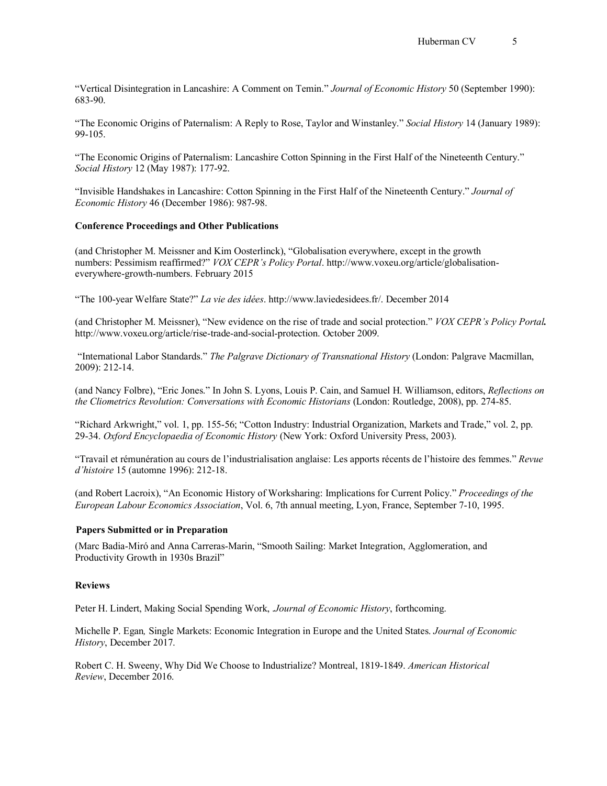"Vertical Disintegration in Lancashire: A Comment on Temin." *Journal of Economic History* 50 (September 1990): 683-90.

"The Economic Origins of Paternalism: A Reply to Rose, Taylor and Winstanley." *Social History* 14 (January 1989): 99-105.

"The Economic Origins of Paternalism: Lancashire Cotton Spinning in the First Half of the Nineteenth Century." *Social History* 12 (May 1987): 177-92.

"Invisible Handshakes in Lancashire: Cotton Spinning in the First Half of the Nineteenth Century." *Journal of Economic History* 46 (December 1986): 987-98.

### **Conference Proceedings and Other Publications**

(and Christopher M. Meissner and Kim Oosterlinck), "Globalisation everywhere, except in the growth numbers: Pessimism reaffirmed?" *VOX CEPR's Policy Portal*. http://www.voxeu.org/article/globalisationeverywhere-growth-numbers. February 2015

"The 100-year Welfare State?" *La vie des idées*. http://www.laviedesidees.fr/. December 2014

(and Christopher M. Meissner), "New evidence on the rise of trade and social protection." *VOX CEPR's Policy Portal.* http://www.voxeu.org/article/rise-trade-and-social-protection. October 2009.

"International Labor Standards." *The Palgrave Dictionary of Transnational History* (London: Palgrave Macmillan, 2009): 212-14.

(and Nancy Folbre), "Eric Jones." In John S. Lyons, Louis P. Cain, and Samuel H. Williamson, editors, *Reflections on the Cliometrics Revolution: Conversations with Economic Historians* (London: Routledge, 2008), pp. 274-85.

"Richard Arkwright," vol. 1, pp. 155-56; "Cotton Industry: Industrial Organization, Markets and Trade," vol. 2, pp. 29-34. *Oxford Encyclopaedia of Economic History* (New York: Oxford University Press, 2003).

"Travail et rémunération au cours de l'industrialisation anglaise: Les apports récents de l'histoire des femmes." *Revue d'histoire* 15 (automne 1996): 212-18.

(and Robert Lacroix), "An Economic History of Worksharing: Implications for Current Policy." *Proceedings of the European Labour Economics Association*, Vol. 6, 7th annual meeting, Lyon, France, September 7-10, 1995.

#### **Papers Submitted or in Preparation**

(Marc Badia-Miró and Anna Carreras-Marin, "Smooth Sailing: Market Integration, Agglomeration, and Productivity Growth in 1930s Brazil"

### **Reviews**

Peter H. Lindert, Making Social Spending Work, .*Journal of Economic History*, forthcoming.

Michelle P. Egan*,* Single Markets: Economic Integration in Europe and the United States. *Journal of Economic History*, December 2017.

Robert C. H. Sweeny, Why Did We Choose to Industrialize? Montreal, 1819-1849. *American Historical Review*, December 2016.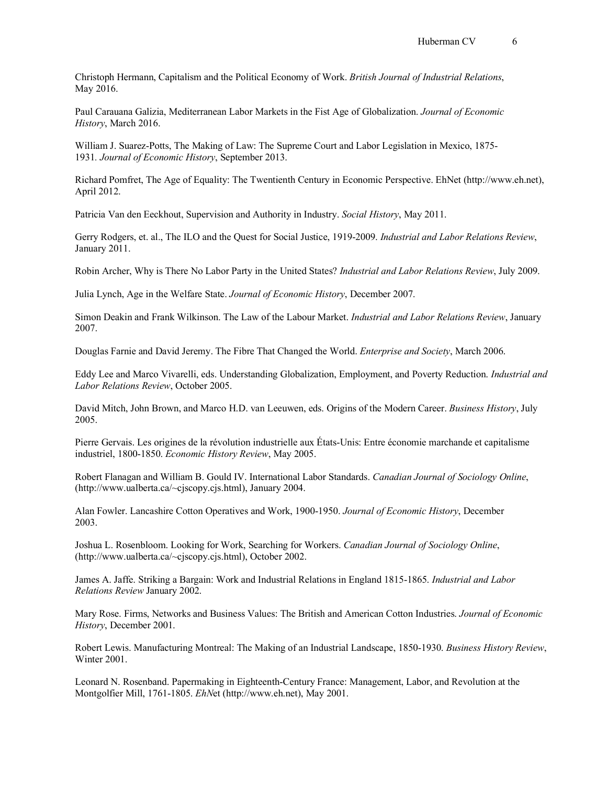Christoph Hermann, Capitalism and the Political Economy of Work. *British Journal of Industrial Relations*, May 2016.

Paul Carauana Galizia, Mediterranean Labor Markets in the Fist Age of Globalization. *Journal of Economic History*, March 2016.

William J. Suarez-Potts, The Making of Law: The Supreme Court and Labor Legislation in Mexico, 1875- 1931*. Journal of Economic History*, September 2013.

Richard Pomfret, The Age of Equality: The Twentienth Century in Economic Perspective. EhNet (http://www.eh.net), April 2012.

Patricia Van den Eeckhout, Supervision and Authority in Industry. *Social History*, May 2011.

Gerry Rodgers, et. al., The ILO and the Quest for Social Justice, 1919-2009. *Industrial and Labor Relations Review*, January 2011.

Robin Archer, Why is There No Labor Party in the United States? *Industrial and Labor Relations Review*, July 2009.

Julia Lynch, Age in the Welfare State. *Journal of Economic History*, December 2007.

Simon Deakin and Frank Wilkinson. The Law of the Labour Market. *Industrial and Labor Relations Review*, January 2007.

Douglas Farnie and David Jeremy. The Fibre That Changed the World. *Enterprise and Society*, March 2006.

Eddy Lee and Marco Vivarelli, eds. Understanding Globalization, Employment, and Poverty Reduction. *Industrial and Labor Relations Review*, October 2005.

David Mitch, John Brown, and Marco H.D. van Leeuwen, eds. Origins of the Modern Career. *Business History*, July 2005.

Pierre Gervais. Les origines de la révolution industrielle aux États-Unis: Entre économie marchande et capitalisme industriel, 1800-1850. *Economic History Review*, May 2005.

Robert Flanagan and William B. Gould IV. International Labor Standards. *Canadian Journal of Sociology Online*, (http://www.ualberta.ca/~cjscopy.cjs.html), January 2004.

Alan Fowler. Lancashire Cotton Operatives and Work, 1900-1950. *Journal of Economic History*, December 2003.

Joshua L. Rosenbloom. Looking for Work, Searching for Workers. *Canadian Journal of Sociology Online*, (http://www.ualberta.ca/~cjscopy.cjs.html), October 2002.

James A. Jaffe. Striking a Bargain: Work and Industrial Relations in England 1815-1865. *Industrial and Labor Relations Review* January 2002.

Mary Rose. Firms, Networks and Business Values: The British and American Cotton Industries. *Journal of Economic History*, December 2001.

Robert Lewis. Manufacturing Montreal: The Making of an Industrial Landscape, 1850-1930. *Business History Review*, Winter 2001.

Leonard N. Rosenband. Papermaking in Eighteenth-Century France: Management, Labor, and Revolution at the Montgolfier Mill, 1761-1805. *EhN*et (http://www.eh.net), May 2001.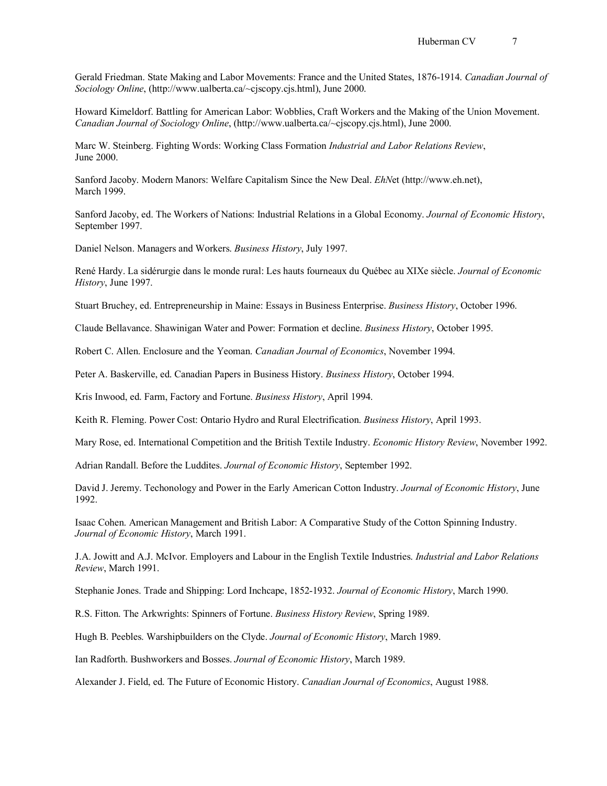Gerald Friedman. State Making and Labor Movements: France and the United States, 1876-1914. *Canadian Journal of Sociology Online*, (http://www.ualberta.ca/~cjscopy.cjs.html), June 2000.

Howard Kimeldorf. Battling for American Labor: Wobblies, Craft Workers and the Making of the Union Movement. *Canadian Journal of Sociology Online*, (http://www.ualberta.ca/~cjscopy.cjs.html), June 2000.

Marc W. Steinberg. Fighting Words: Working Class Formation *Industrial and Labor Relations Review*, June 2000.

Sanford Jacoby. Modern Manors: Welfare Capitalism Since the New Deal. *EhN*et (http://www.eh.net), March 1999.

Sanford Jacoby, ed. The Workers of Nations: Industrial Relations in a Global Economy. *Journal of Economic History*, September 1997.

Daniel Nelson. Managers and Workers. *Business History*, July 1997.

René Hardy. La sidérurgie dans le monde rural: Les hauts fourneaux du Québec au XIXe siècle. *Journal of Economic History*, June 1997.

Stuart Bruchey, ed. Entrepreneurship in Maine: Essays in Business Enterprise. *Business History*, October 1996.

Claude Bellavance. Shawinigan Water and Power: Formation et decline. *Business History*, October 1995.

Robert C. Allen. Enclosure and the Yeoman. *Canadian Journal of Economics*, November 1994.

Peter A. Baskerville, ed. Canadian Papers in Business History. *Business History*, October 1994.

Kris Inwood, ed. Farm, Factory and Fortune. *Business History*, April 1994.

Keith R. Fleming. Power Cost: Ontario Hydro and Rural Electrification. *Business History*, April 1993.

Mary Rose, ed. International Competition and the British Textile Industry. *Economic History Review*, November 1992.

Adrian Randall. Before the Luddites. *Journal of Economic History*, September 1992.

David J. Jeremy. Techonology and Power in the Early American Cotton Industry. *Journal of Economic History*, June 1992.

Isaac Cohen. American Management and British Labor: A Comparative Study of the Cotton Spinning Industry. *Journal of Economic History*, March 1991.

J.A. Jowitt and A.J. McIvor. Employers and Labour in the English Textile Industries. *Industrial and Labor Relations Review*, March 1991.

Stephanie Jones. Trade and Shipping: Lord Inchcape, 1852-1932. *Journal of Economic History*, March 1990.

R.S. Fitton. The Arkwrights: Spinners of Fortune. *Business History Review*, Spring 1989.

Hugh B. Peebles. Warshipbuilders on the Clyde. *Journal of Economic History*, March 1989.

Ian Radforth. Bushworkers and Bosses. *Journal of Economic History*, March 1989.

Alexander J. Field, ed. The Future of Economic History. *Canadian Journal of Economics*, August 1988.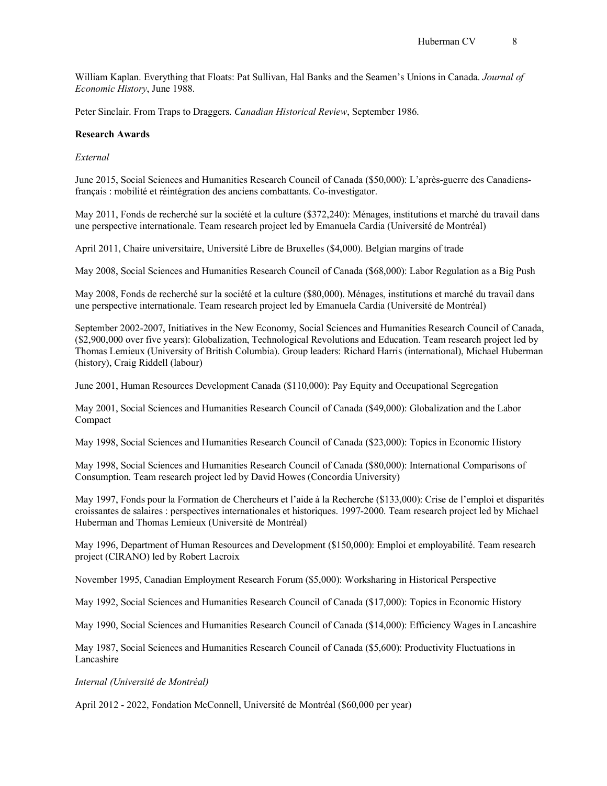William Kaplan. Everything that Floats: Pat Sullivan, Hal Banks and the Seamen's Unions in Canada. *Journal of Economic History*, June 1988.

Peter Sinclair. From Traps to Draggers. *Canadian Historical Review*, September 1986.

## **Research Awards**

*External*

June 2015, Social Sciences and Humanities Research Council of Canada (\$50,000): L'après-guerre des Canadiensfrançais : mobilité et réintégration des anciens combattants. Co-investigator.

May 2011, Fonds de recherché sur la société et la culture (\$372,240): Ménages, institutions et marché du travail dans une perspective internationale. Team research project led by Emanuela Cardia (Université de Montréal)

April 2011, Chaire universitaire, Université Libre de Bruxelles (\$4,000). Belgian margins of trade

May 2008, Social Sciences and Humanities Research Council of Canada (\$68,000): Labor Regulation as a Big Push

May 2008, Fonds de recherché sur la société et la culture (\$80,000). Ménages, institutions et marché du travail dans une perspective internationale. Team research project led by Emanuela Cardia (Université de Montréal)

September 2002-2007, Initiatives in the New Economy, Social Sciences and Humanities Research Council of Canada, (\$2,900,000 over five years): Globalization, Technological Revolutions and Education. Team research project led by Thomas Lemieux (University of British Columbia). Group leaders: Richard Harris (international), Michael Huberman (history), Craig Riddell (labour)

June 2001, Human Resources Development Canada (\$110,000): Pay Equity and Occupational Segregation

May 2001, Social Sciences and Humanities Research Council of Canada (\$49,000): Globalization and the Labor Compact

May 1998, Social Sciences and Humanities Research Council of Canada (\$23,000): Topics in Economic History

May 1998, Social Sciences and Humanities Research Council of Canada (\$80,000): International Comparisons of Consumption. Team research project led by David Howes (Concordia University)

May 1997, Fonds pour la Formation de Chercheurs et l'aide à la Recherche (\$133,000): Crise de l'emploi et disparités croissantes de salaires : perspectives internationales et historiques. 1997-2000. Team research project led by Michael Huberman and Thomas Lemieux (Université de Montréal)

May 1996, Department of Human Resources and Development (\$150,000): Emploi et employabilité. Team research project (CIRANO) led by Robert Lacroix

November 1995, Canadian Employment Research Forum (\$5,000): Worksharing in Historical Perspective

May 1992, Social Sciences and Humanities Research Council of Canada (\$17,000): Topics in Economic History

May 1990, Social Sciences and Humanities Research Council of Canada (\$14,000): Efficiency Wages in Lancashire

May 1987, Social Sciences and Humanities Research Council of Canada (\$5,600): Productivity Fluctuations in Lancashire

*Internal (Université de Montréal)*

April 2012 - 2022, Fondation McConnell, Université de Montréal (\$60,000 per year)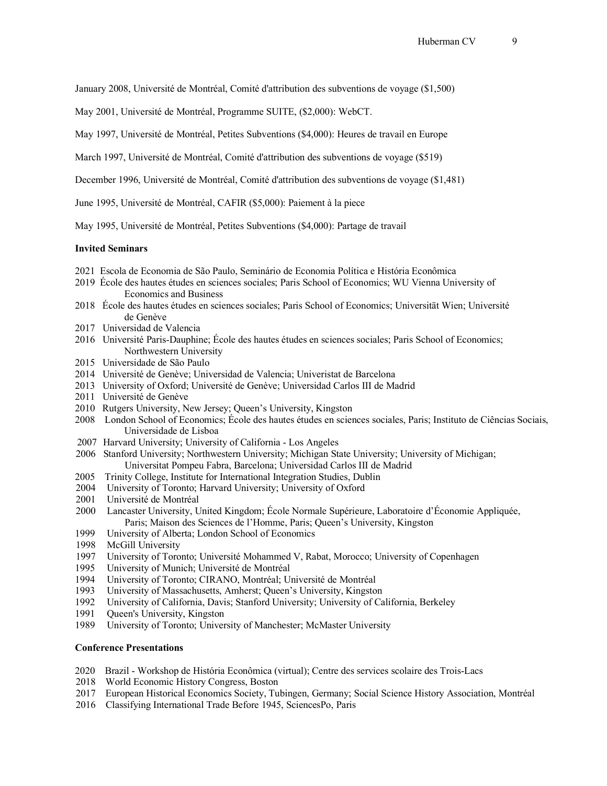January 2008, Université de Montréal, Comité d'attribution des subventions de voyage (\$1,500)

May 2001, Université de Montréal, Programme SUITE, (\$2,000): WebCT.

May 1997, Université de Montréal, Petites Subventions (\$4,000): Heures de travail en Europe

March 1997, Université de Montréal, Comité d'attribution des subventions de voyage (\$519)

December 1996, Université de Montréal, Comité d'attribution des subventions de voyage (\$1,481)

June 1995, Université de Montréal, CAFIR (\$5,000): Paiement à la piece

May 1995, Université de Montréal, Petites Subventions (\$4,000): Partage de travail

#### **Invited Seminars**

- 2021 Escola de Economia de São Paulo, Seminário de Economia Política e História Econômica
- 2019 École des hautes études en sciences sociales; Paris School of Economics; WU Vienna University of Economics and Business
- 2018 École des hautes études en sciences sociales; Paris School of Economics; Universität Wien; Université de Genève
- 2017 Universidad de Valencia
- 2016 Université Paris-Dauphine; École des hautes études en sciences sociales; Paris School of Economics; Northwestern University
- 2015 Universidade de São Paulo
- 2014 Université de Genève; Universidad de Valencia; Univeristat de Barcelona
- 2013 University of Oxford; Université de Genève; Universidad Carlos III de Madrid
- 2011 Université de Genève
- 2010 Rutgers University, New Jersey; Queen's University, Kingston
- 2008 London School of Economics; École des hautes études en sciences sociales, Paris; Instituto de Ciências Sociais, Universidade de Lisboa
- 2007 Harvard University; University of California Los Angeles
- 2006 Stanford University; Northwestern University; Michigan State University; University of Michigan; Universitat Pompeu Fabra, Barcelona; Universidad Carlos III de Madrid
- 2005 Trinity College, Institute for International Integration Studies, Dublin
- 2004 University of Toronto; Harvard University; University of Oxford
- 2001 Université de Montréal
- 2000 Lancaster University, United Kingdom; École Normale Supérieure, Laboratoire d'Économie Appliquée, Paris; Maison des Sciences de l'Homme, Paris; Queen's University, Kingston
- 1999 University of Alberta; London School of Economics
- 1998 McGill University
- 1997 University of Toronto; Université Mohammed V, Rabat, Morocco; University of Copenhagen
- 1995 University of Munich; Université de Montréal
- 1994 University of Toronto; CIRANO, Montréal; Université de Montréal
- 1993 University of Massachusetts, Amherst; Queen's University, Kingston
- 1992 University of California, Davis; Stanford University; University of California, Berkeley
- 1991 Queen's University, Kingston
- 1989 University of Toronto; University of Manchester; McMaster University

#### **Conference Presentations**

- 2020 Brazil Workshop de História Econômica (virtual); Centre des services scolaire des Trois-Lacs
- 2018 World Economic History Congress, Boston
- 2017 European Historical Economics Society, Tubingen, Germany; Social Science History Association, Montréal
- 2016 Classifying International Trade Before 1945, SciencesPo, Paris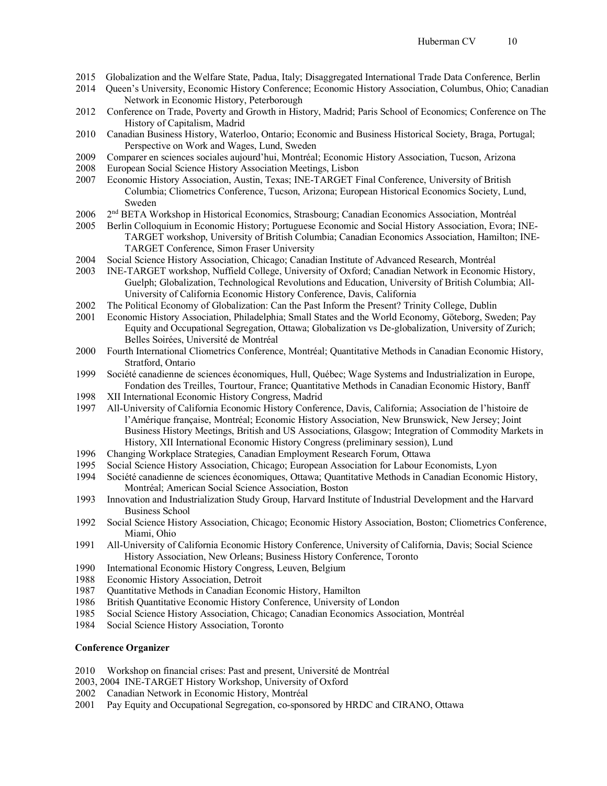- 2015 Globalization and the Welfare State, Padua, Italy; Disaggregated International Trade Data Conference, Berlin
- 2014 Queen's University, Economic History Conference; Economic History Association, Columbus, Ohio; Canadian Network in Economic History, Peterborough
- 2012 Conference on Trade, Poverty and Growth in History, Madrid; Paris School of Economics; Conference on The History of Capitalism, Madrid
- 2010 Canadian Business History, Waterloo, Ontario; Economic and Business Historical Society, Braga, Portugal; Perspective on Work and Wages, Lund, Sweden
- 2009 Comparer en sciences sociales aujourd'hui, Montréal; Economic History Association, Tucson, Arizona
- 2008 European Social Science History Association Meetings, Lisbon
- 2007 Economic History Association, Austin, Texas; INE-TARGET Final Conference, University of British Columbia; Cliometrics Conference, Tucson, Arizona; European Historical Economics Society, Lund, Sweden
- 2006 2nd BETA Workshop in Historical Economics, Strasbourg; Canadian Economics Association, Montréal
- 2005 Berlin Colloquium in Economic History; Portuguese Economic and Social History Association, Evora; INE-TARGET workshop, University of British Columbia; Canadian Economics Association, Hamilton; INE-TARGET Conference, Simon Fraser University
- 2004 Social Science History Association, Chicago; Canadian Institute of Advanced Research, Montréal
- 2003 INE-TARGET workshop, Nuffield College, University of Oxford; Canadian Network in Economic History, Guelph; Globalization, Technological Revolutions and Education, University of British Columbia; All-University of California Economic History Conference, Davis, California
- 2002 The Political Economy of Globalization: Can the Past Inform the Present? Trinity College, Dublin
- 2001 Economic History Association, Philadelphia; Small States and the World Economy, Göteborg, Sweden; Pay Equity and Occupational Segregation, Ottawa; Globalization vs De-globalization, University of Zurich; Belles Soirées, Université de Montréal
- 2000 Fourth International Cliometrics Conference, Montréal; Quantitative Methods in Canadian Economic History, Stratford, Ontario
- 1999 Société canadienne de sciences économiques, Hull, Québec; Wage Systems and Industrialization in Europe, Fondation des Treilles, Tourtour, France; Quantitative Methods in Canadian Economic History, Banff
- 1998 XII International Economic History Congress, Madrid
- 1997 All-University of California Economic History Conference, Davis, California; Association de l'histoire de l'Amérique française, Montréal; Economic History Association, New Brunswick, New Jersey; Joint Business History Meetings, British and US Associations, Glasgow; Integration of Commodity Markets in History, XII International Economic History Congress (preliminary session), Lund
- 1996 Changing Workplace Strategies, Canadian Employment Research Forum, Ottawa
- 1995 Social Science History Association, Chicago; European Association for Labour Economists, Lyon
- 1994 Société canadienne de sciences économiques, Ottawa; Quantitative Methods in Canadian Economic History, Montréal; American Social Science Association, Boston
- 1993 Innovation and Industrialization Study Group, Harvard Institute of Industrial Development and the Harvard Business School
- 1992 Social Science History Association, Chicago; Economic History Association, Boston; Cliometrics Conference, Miami, Ohio
- 1991 All-University of California Economic History Conference, University of California, Davis; Social Science History Association, New Orleans; Business History Conference, Toronto
- 1990 International Economic History Congress, Leuven, Belgium
- 1988 Economic History Association, Detroit
- 1987 Quantitative Methods in Canadian Economic History, Hamilton
- 1986 British Quantitative Economic History Conference, University of London
- 1985 Social Science History Association, Chicago; Canadian Economics Association, Montréal
- 1984 Social Science History Association, Toronto

#### **Conference Organizer**

- 2010 Workshop on financial crises: Past and present, Université de Montréal
- 2003, 2004 INE-TARGET History Workshop, University of Oxford
- 2002 Canadian Network in Economic History, Montréal
- 2001 Pay Equity and Occupational Segregation, co-sponsored by HRDC and CIRANO, Ottawa